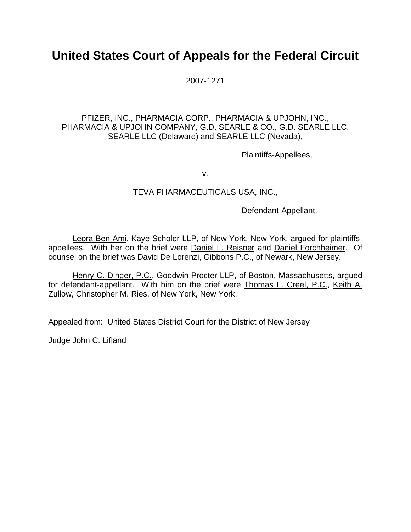# **United States Court of Appeals for the Federal Circuit**

2007-1271

## PFIZER, INC., PHARMACIA CORP., PHARMACIA & UPJOHN, INC., PHARMACIA & UPJOHN COMPANY, G.D. SEARLE & CO., G.D. SEARLE LLC, SEARLE LLC (Delaware) and SEARLE LLC (Nevada),

Plaintiffs-Appellees,

v.

### TEVA PHARMACEUTICALS USA, INC.,

Defendant-Appellant.

Leora Ben-Ami, Kaye Scholer LLP, of New York, New York, argued for plaintiffsappellees. With her on the brief were Daniel L. Reisner and Daniel Forchheimer. Of counsel on the brief was David De Lorenzi, Gibbons P.C., of Newark, New Jersey.

Henry C. Dinger, P.C., Goodwin Procter LLP, of Boston, Massachusetts, argued for defendant-appellant. With him on the brief were Thomas L. Creel, P.C., Keith A. Zullow, Christopher M. Ries, of New York, New York.

Appealed from: United States District Court for the District of New Jersey

Judge John C. Lifland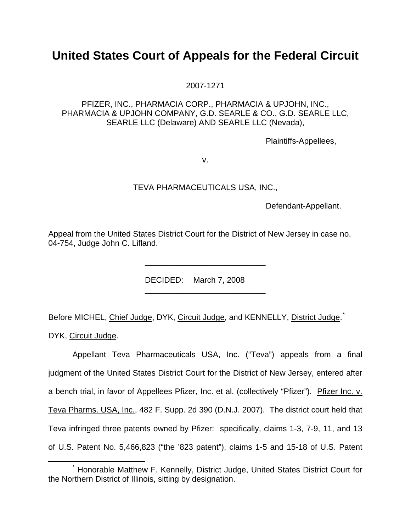# **United States Court of Appeals for the Federal Circuit**

2007-1271

### PFIZER, INC., PHARMACIA CORP., PHARMACIA & UPJOHN, INC., PHARMACIA & UPJOHN COMPANY, G.D. SEARLE & CO., G.D. SEARLE LLC, SEARLE LLC (Delaware) AND SEARLE LLC (Nevada),

Plaintiffs-Appellees,

v.

#### TEVA PHARMACEUTICALS USA, INC.,

Defendant-Appellant.

Appeal from the United States District Court for the District of New Jersey in case no. 04-754, Judge John C. Lifland.

DECIDED: March 7, 2008

 $\frac{1}{2}$  ,  $\frac{1}{2}$  ,  $\frac{1}{2}$  ,  $\frac{1}{2}$  ,  $\frac{1}{2}$  ,  $\frac{1}{2}$  ,  $\frac{1}{2}$  ,  $\frac{1}{2}$  ,  $\frac{1}{2}$  ,  $\frac{1}{2}$  ,  $\frac{1}{2}$  ,  $\frac{1}{2}$  ,  $\frac{1}{2}$  ,  $\frac{1}{2}$  ,  $\frac{1}{2}$  ,  $\frac{1}{2}$  ,  $\frac{1}{2}$  ,  $\frac{1}{2}$  ,  $\frac{1$ 

 $\frac{1}{\sqrt{2}}$  ,  $\frac{1}{\sqrt{2}}$  ,  $\frac{1}{\sqrt{2}}$  ,  $\frac{1}{\sqrt{2}}$  ,  $\frac{1}{\sqrt{2}}$  ,  $\frac{1}{\sqrt{2}}$  ,  $\frac{1}{\sqrt{2}}$  ,  $\frac{1}{\sqrt{2}}$  ,  $\frac{1}{\sqrt{2}}$  ,  $\frac{1}{\sqrt{2}}$  ,  $\frac{1}{\sqrt{2}}$  ,  $\frac{1}{\sqrt{2}}$  ,  $\frac{1}{\sqrt{2}}$  ,  $\frac{1}{\sqrt{2}}$  ,  $\frac{1}{\sqrt{2}}$ 

Before MICHEL, Chief Judge, DYK, Circuit Judge, and KENNELLY, District Judge.<sup>[\\*](#page-1-0)</sup>

DYK, Circuit Judge.

 Appellant Teva Pharmaceuticals USA, Inc. ("Teva") appeals from a final judgment of the United States District Court for the District of New Jersey, entered after a bench trial, in favor of Appellees Pfizer, Inc. et al. (collectively "Pfizer"). Pfizer Inc. v. Teva Pharms. USA, Inc., 482 F. Supp. 2d 390 (D.N.J. 2007). The district court held that Teva infringed three patents owned by Pfizer: specifically, claims 1-3, 7-9, 11, and 13 of U.S. Patent No. 5,466,823 ("the '823 patent"), claims 1-5 and 15-18 of U.S. Patent

<span id="page-1-0"></span> <sup>\*</sup> Honorable Matthew F. Kennelly, District Judge, United States District Court for the Northern District of Illinois, sitting by designation.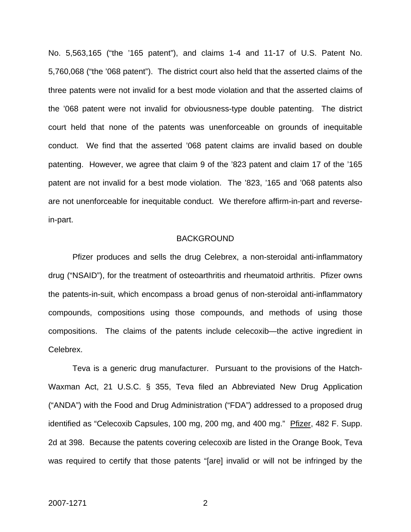No. 5,563,165 ("the '165 patent"), and claims 1-4 and 11-17 of U.S. Patent No. 5,760,068 ("the '068 patent"). The district court also held that the asserted claims of the three patents were not invalid for a best mode violation and that the asserted claims of the '068 patent were not invalid for obviousness-type double patenting. The district court held that none of the patents was unenforceable on grounds of inequitable conduct.We find that the asserted '068 patent claims are invalid based on double patenting. However, we agree that claim 9 of the '823 patent and claim 17 of the '165 patent are not invalid for a best mode violation. The '823, '165 and '068 patents also are not unenforceable for inequitable conduct. We therefore affirm-in-part and reversein-part.

#### BACKGROUND

 Pfizer produces and sells the drug Celebrex, a non-steroidal anti-inflammatory drug ("NSAID"), for the treatment of osteoarthritis and rheumatoid arthritis. Pfizer owns the patents-in-suit, which encompass a broad genus of non-steroidal anti-inflammatory compounds, compositions using those compounds, and methods of using those compositions. The claims of the patents include celecoxib—the active ingredient in Celebrex.

Teva is a generic drug manufacturer. Pursuant to the provisions of the Hatch-Waxman Act, 21 U.S.C. § 355, Teva filed an Abbreviated New Drug Application ("ANDA") with the Food and Drug Administration ("FDA") addressed to a proposed drug identified as "Celecoxib Capsules, 100 mg, 200 mg, and 400 mg." Pfizer, 482 F. Supp. 2d at 398. Because the patents covering celecoxib are listed in the Orange Book, Teva was required to certify that those patents "[are] invalid or will not be infringed by the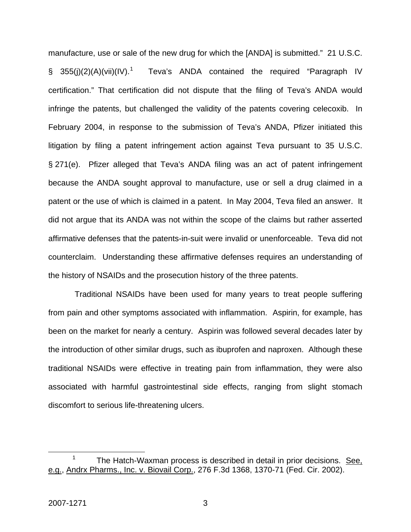manufacture, use or sale of the new drug for which the [ANDA] is submitted." 21 U.S.C.  $\S$  355(i)(2)(A)(vii)(IV).<sup>[1](#page-3-0)</sup> Teva's ANDA contained the required "Paragraph IV certification." That certification did not dispute that the filing of Teva's ANDA would infringe the patents, but challenged the validity of the patents covering celecoxib. In February 2004, in response to the submission of Teva's ANDA, Pfizer initiated this litigation by filing a patent infringement action against Teva pursuant to 35 U.S.C. § 271(e). Pfizer alleged that Teva's ANDA filing was an act of patent infringement because the ANDA sought approval to manufacture, use or sell a drug claimed in a patent or the use of which is claimed in a patent. In May 2004, Teva filed an answer. It did not argue that its ANDA was not within the scope of the claims but rather asserted affirmative defenses that the patents-in-suit were invalid or unenforceable. Teva did not counterclaim. Understanding these affirmative defenses requires an understanding of the history of NSAIDs and the prosecution history of the three patents.

 Traditional NSAIDs have been used for many years to treat people suffering from pain and other symptoms associated with inflammation. Aspirin, for example, has been on the market for nearly a century. Aspirin was followed several decades later by the introduction of other similar drugs, such as ibuprofen and naproxen. Although these traditional NSAIDs were effective in treating pain from inflammation, they were also associated with harmful gastrointestinal side effects, ranging from slight stomach discomfort to serious life-threatening ulcers.

<span id="page-3-0"></span> <sup>1</sup> The Hatch-Waxman process is described in detail in prior decisions. See, e.g., Andrx Pharms., Inc. v. Biovail Corp., 276 F.3d 1368, 1370-71 (Fed. Cir. 2002).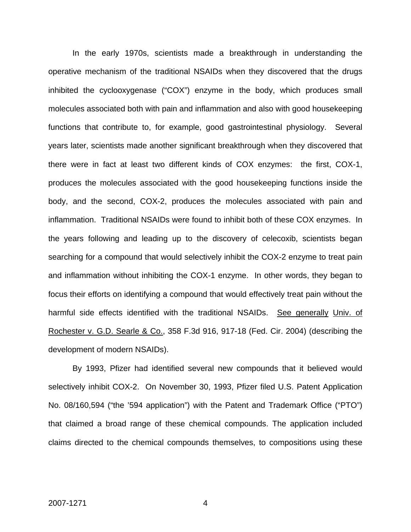In the early 1970s, scientists made a breakthrough in understanding the operative mechanism of the traditional NSAIDs when they discovered that the drugs inhibited the cyclooxygenase ("COX") enzyme in the body, which produces small molecules associated both with pain and inflammation and also with good housekeeping functions that contribute to, for example, good gastrointestinal physiology. Several years later, scientists made another significant breakthrough when they discovered that there were in fact at least two different kinds of COX enzymes: the first, COX-1, produces the molecules associated with the good housekeeping functions inside the body, and the second, COX-2, produces the molecules associated with pain and inflammation. Traditional NSAIDs were found to inhibit both of these COX enzymes. In the years following and leading up to the discovery of celecoxib, scientists began searching for a compound that would selectively inhibit the COX-2 enzyme to treat pain and inflammation without inhibiting the COX-1 enzyme. In other words, they began to focus their efforts on identifying a compound that would effectively treat pain without the harmful side effects identified with the traditional NSAIDs. See generally Univ. of Rochester v. G.D. Searle & Co., 358 F.3d 916, 917-18 (Fed. Cir. 2004) (describing the development of modern NSAIDs).

By 1993, Pfizer had identified several new compounds that it believed would selectively inhibit COX-2. On November 30, 1993, Pfizer filed U.S. Patent Application No. 08/160,594 ("the '594 application") with the Patent and Trademark Office ("PTO") that claimed a broad range of these chemical compounds. The application included claims directed to the chemical compounds themselves, to compositions using these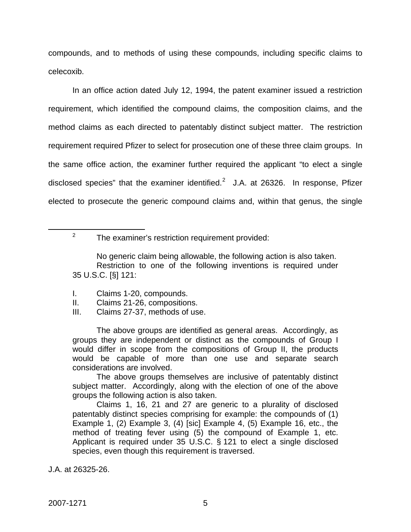compounds, and to methods of using these compounds, including specific claims to celecoxib.

In an office action dated July 12, 1994, the patent examiner issued a restriction requirement, which identified the compound claims, the composition claims, and the method claims as each directed to patentably distinct subject matter. The restriction requirement required Pfizer to select for prosecution one of these three claim groups. In the same office action, the examiner further required the applicant "to elect a single disclosed species" that the examiner identified. $2$  J.A. at 26326. In response, Pfizer elected to prosecute the generic compound claims and, within that genus, the single

<span id="page-5-0"></span> $\frac{1}{2}$ 

No generic claim being allowable, the following action is also taken. Restriction to one of the following inventions is required under 35 U.S.C. [§] 121:

- I. Claims 1-20, compounds.
- II. Claims 21-26, compositions.
- III. Claims 27-37, methods of use.

The above groups are identified as general areas. Accordingly, as groups they are independent or distinct as the compounds of Group I would differ in scope from the compositions of Group II, the products would be capable of more than one use and separate search considerations are involved.

The above groups themselves are inclusive of patentably distinct subject matter. Accordingly, along with the election of one of the above groups the following action is also taken.

Claims 1, 16, 21 and 27 are generic to a plurality of disclosed patentably distinct species comprising for example: the compounds of (1) Example 1, (2) Example 3, (4) [sic] Example 4, (5) Example 16, etc., the method of treating fever using (5) the compound of Example 1, etc. Applicant is required under 35 U.S.C. § 121 to elect a single disclosed species, even though this requirement is traversed.

J.A. at 26325-26.

 $2^2$  The examiner's restriction requirement provided: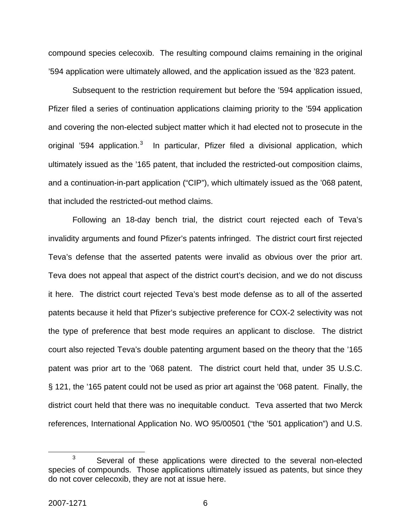compound species celecoxib. The resulting compound claims remaining in the original '594 application were ultimately allowed, and the application issued as the '823 patent.

Subsequent to the restriction requirement but before the '594 application issued, Pfizer filed a series of continuation applications claiming priority to the '594 application and covering the non-elected subject matter which it had elected not to prosecute in the original '594 application.<sup>[3](#page-6-0)</sup> In particular, Pfizer filed a divisional application, which ultimately issued as the '165 patent, that included the restricted-out composition claims, and a continuation-in-part application ("CIP"), which ultimately issued as the '068 patent, that included the restricted-out method claims.

 Following an 18-day bench trial, the district court rejected each of Teva's invalidity arguments and found Pfizer's patents infringed. The district court first rejected Teva's defense that the asserted patents were invalid as obvious over the prior art. Teva does not appeal that aspect of the district court's decision, and we do not discuss it here. The district court rejected Teva's best mode defense as to all of the asserted patents because it held that Pfizer's subjective preference for COX-2 selectivity was not the type of preference that best mode requires an applicant to disclose. The district court also rejected Teva's double patenting argument based on the theory that the '165 patent was prior art to the '068 patent. The district court held that, under 35 U.S.C. § 121, the '165 patent could not be used as prior art against the '068 patent. Finally, the district court held that there was no inequitable conduct. Teva asserted that two Merck references, International Application No. WO 95/00501 ("the '501 application") and U.S.

<span id="page-6-0"></span> $\overline{\phantom{a}}$  3  $3$  Several of these applications were directed to the several non-elected species of compounds. Those applications ultimately issued as patents, but since they do not cover celecoxib, they are not at issue here.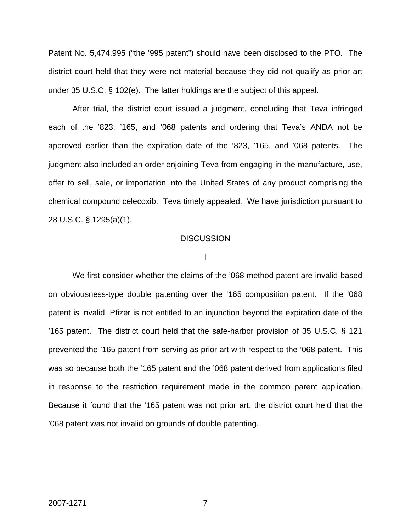Patent No. 5,474,995 ("the '995 patent") should have been disclosed to the PTO. The district court held that they were not material because they did not qualify as prior art under 35 U.S.C. § 102(e). The latter holdings are the subject of this appeal.

After trial, the district court issued a judgment, concluding that Teva infringed each of the '823, '165, and '068 patents and ordering that Teva's ANDA not be approved earlier than the expiration date of the '823, '165, and '068 patents. The judgment also included an order enjoining Teva from engaging in the manufacture, use, offer to sell, sale, or importation into the United States of any product comprising the chemical compound celecoxib. Teva timely appealed. We have jurisdiction pursuant to 28 U.S.C. § 1295(a)(1).

#### **DISCUSSION**

I

 We first consider whether the claims of the '068 method patent are invalid based on obviousness-type double patenting over the '165 composition patent. If the '068 patent is invalid, Pfizer is not entitled to an injunction beyond the expiration date of the '165 patent. The district court held that the safe-harbor provision of 35 U.S.C. § 121 prevented the '165 patent from serving as prior art with respect to the '068 patent. This was so because both the '165 patent and the '068 patent derived from applications filed in response to the restriction requirement made in the common parent application. Because it found that the '165 patent was not prior art, the district court held that the '068 patent was not invalid on grounds of double patenting.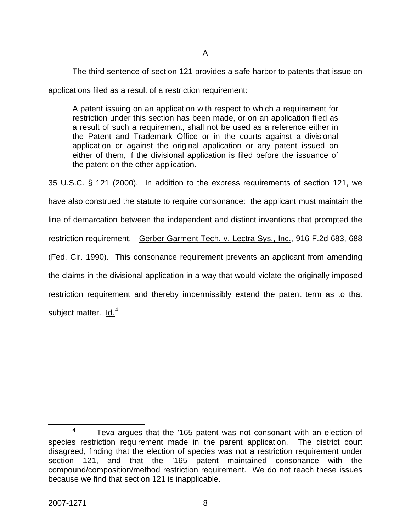The third sentence of section 121 provides a safe harbor to patents that issue on

applications filed as a result of a restriction requirement:

A patent issuing on an application with respect to which a requirement for restriction under this section has been made, or on an application filed as a result of such a requirement, shall not be used as a reference either in the Patent and Trademark Office or in the courts against a divisional application or against the original application or any patent issued on either of them, if the divisional application is filed before the issuance of the patent on the other application.

35 U.S.C. § 121 (2000). In addition to the express requirements of section 121, we have also construed the statute to require consonance: the applicant must maintain the line of demarcation between the independent and distinct inventions that prompted the restriction requirement. Gerber Garment Tech. v. Lectra Sys., Inc., 916 F.2d 683, 688 (Fed. Cir. 1990). This consonance requirement prevents an applicant from amending the claims in the divisional application in a way that would violate the originally imposed restriction requirement and thereby impermissibly extend the patent term as to that subject matter. ld.<sup>[4](#page-8-0)</sup>

<span id="page-8-0"></span> $\frac{1}{4}$  $4 -$  Teva argues that the '165 patent was not consonant with an election of species restriction requirement made in the parent application. The district court disagreed, finding that the election of species was not a restriction requirement under section 121, and that the '165 patent maintained consonance with the compound/composition/method restriction requirement. We do not reach these issues because we find that section 121 is inapplicable.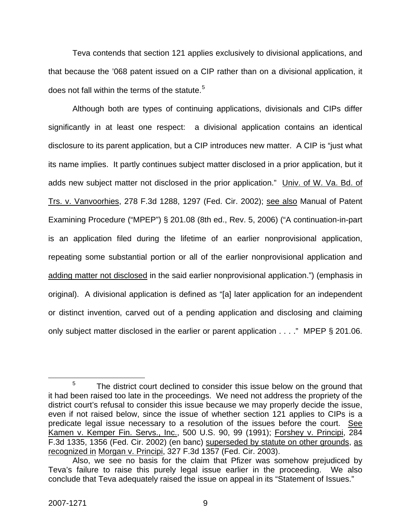Teva contends that section 121 applies exclusively to divisional applications, and that because the '068 patent issued on a CIP rather than on a divisional application, it does not fall within the terms of the statute.<sup>[5](#page-9-0)</sup>

Although both are types of continuing applications, divisionals and CIPs differ significantly in at least one respect: a divisional application contains an identical disclosure to its parent application, but a CIP introduces new matter. A CIP is "just what its name implies. It partly continues subject matter disclosed in a prior application, but it adds new subject matter not disclosed in the prior application." Univ. of W. Va. Bd. of Trs. v. Vanvoorhies, 278 F.3d 1288, 1297 (Fed. Cir. 2002); see also Manual of Patent Examining Procedure ("MPEP") § 201.08 (8th ed., Rev. 5, 2006) ("A continuation-in-part is an application filed during the lifetime of an earlier nonprovisional application, repeating some substantial portion or all of the earlier nonprovisional application and adding matter not disclosed in the said earlier nonprovisional application.") (emphasis in original). A divisional application is defined as "[a] later application for an independent or distinct invention, carved out of a pending application and disclosing and claiming only subject matter disclosed in the earlier or parent application . . . ." MPEP § 201.06.

<span id="page-9-0"></span> $\frac{1}{5}$  $5$  The district court declined to consider this issue below on the ground that it had been raised too late in the proceedings. We need not address the propriety of the district court's refusal to consider this issue because we may properly decide the issue, even if not raised below, since the issue of whether section 121 applies to CIPs is a predicate legal issue necessary to a resolution of the issues before the court. See Kamen v. Kemper Fin. Servs., Inc., 500 U.S. 90, 99 (1991); Forshey v. Principi, 284 F.3d 1335, 1356 (Fed. Cir. 2002) (en banc) superseded by statute on other grounds, as recognized in Morgan v. Principi, 327 F.3d 1357 (Fed. Cir. 2003).

Also, we see no basis for the claim that Pfizer was somehow prejudiced by Teva's failure to raise this purely legal issue earlier in the proceeding. We also conclude that Teva adequately raised the issue on appeal in its "Statement of Issues."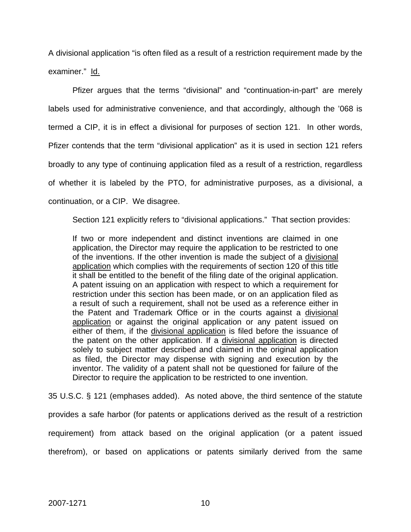A divisional application "is often filed as a result of a restriction requirement made by the examiner." ld.

Pfizer argues that the terms "divisional" and "continuation-in-part" are merely labels used for administrative convenience, and that accordingly, although the '068 is termed a CIP, it is in effect a divisional for purposes of section 121. In other words, Pfizer contends that the term "divisional application" as it is used in section 121 refers broadly to any type of continuing application filed as a result of a restriction, regardless of whether it is labeled by the PTO, for administrative purposes, as a divisional, a continuation, or a CIP. We disagree.

Section 121 explicitly refers to "divisional applications." That section provides:

If two or more independent and distinct inventions are claimed in one application, the Director may require the application to be restricted to one of the inventions. If the other invention is made the subject of a divisional application which complies with the requirements of section 120 of this title it shall be entitled to the benefit of the filing date of the original application. A patent issuing on an application with respect to which a requirement for restriction under this section has been made, or on an application filed as a result of such a requirement, shall not be used as a reference either in the Patent and Trademark Office or in the courts against a divisional application or against the original application or any patent issued on either of them, if the divisional application is filed before the issuance of the patent on the other application. If a divisional application is directed solely to subject matter described and claimed in the original application as filed, the Director may dispense with signing and execution by the inventor. The validity of a patent shall not be questioned for failure of the Director to require the application to be restricted to one invention.

35 U.S.C. § 121 (emphases added). As noted above, the third sentence of the statute provides a safe harbor (for patents or applications derived as the result of a restriction requirement) from attack based on the original application (or a patent issued therefrom), or based on applications or patents similarly derived from the same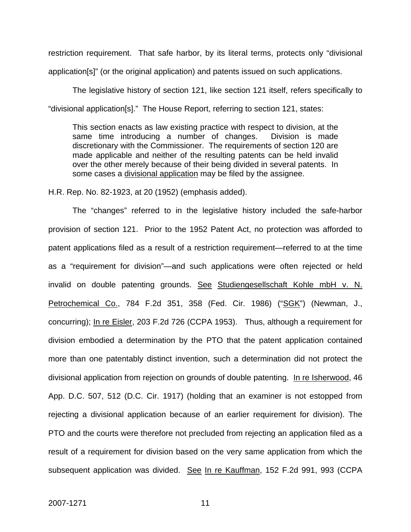restriction requirement. That safe harbor, by its literal terms, protects only "divisional application[s]" (or the original application) and patents issued on such applications.

 The legislative history of section 121, like section 121 itself, refers specifically to "divisional application[s]." The House Report, referring to section 121, states:

This section enacts as law existing practice with respect to division, at the same time introducing a number of changes. Division is made discretionary with the Commissioner. The requirements of section 120 are made applicable and neither of the resulting patents can be held invalid over the other merely because of their being divided in several patents. In some cases a divisional application may be filed by the assignee.

H.R. Rep. No. 82-1923, at 20 (1952) (emphasis added).

The "changes" referred to in the legislative history included the safe-harbor provision of section 121. Prior to the 1952 Patent Act, no protection was afforded to patent applications filed as a result of a restriction requirement—referred to at the time as a "requirement for division"—and such applications were often rejected or held invalid on double patenting grounds. See Studiengesellschaft Kohle mbH v. N. Petrochemical Co., 784 F.2d 351, 358 (Fed. Cir. 1986) ("SGK") (Newman, J., concurring); In re Eisler, 203 F.2d 726 (CCPA 1953). Thus, although a requirement for division embodied a determination by the PTO that the patent application contained more than one patentably distinct invention, such a determination did not protect the divisional application from rejection on grounds of double patenting. In re Isherwood, 46 App. D.C. 507, 512 (D.C. Cir. 1917) (holding that an examiner is not estopped from rejecting a divisional application because of an earlier requirement for division). The PTO and the courts were therefore not precluded from rejecting an application filed as a result of a requirement for division based on the very same application from which the subsequent application was divided. See In re Kauffman, 152 F.2d 991, 993 (CCPA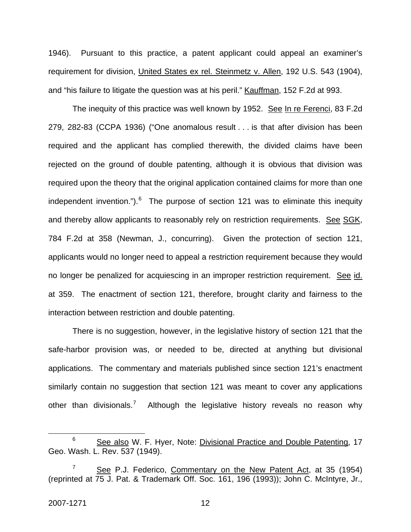1946). Pursuant to this practice, a patent applicant could appeal an examiner's requirement for division, United States ex rel. Steinmetz v. Allen, 192 U.S. 543 (1904), and "his failure to litigate the question was at his peril." Kauffman, 152 F.2d at 993.

The inequity of this practice was well known by 1952. See In re Ferenci, 83 F.2d 279, 282-83 (CCPA 1936) ("One anomalous result . . . is that after division has been required and the applicant has complied therewith, the divided claims have been rejected on the ground of double patenting, although it is obvious that division was required upon the theory that the original application contained claims for more than one independent invention.").  $6$  The purpose of section 121 was to eliminate this inequity and thereby allow applicants to reasonably rely on restriction requirements. See SGK, 784 F.2d at 358 (Newman, J., concurring). Given the protection of section 121, applicants would no longer need to appeal a restriction requirement because they would no longer be penalized for acquiescing in an improper restriction requirement. See id. at 359. The enactment of section 121, therefore, brought clarity and fairness to the interaction between restriction and double patenting.

There is no suggestion, however, in the legislative history of section 121 that the safe-harbor provision was, or needed to be, directed at anything but divisional applications. The commentary and materials published since section 121's enactment similarly contain no suggestion that section 121 was meant to cover any applications other than divisionals.<sup>[7](#page-12-1)</sup> Although the legislative history reveals no reason why

 $\overline{a}$ 

<span id="page-12-0"></span><sup>6</sup> See also W. F. Hyer, Note: Divisional Practice and Double Patenting, 17 Geo. Wash. L. Rev. 537 (1949).

<span id="page-12-1"></span><sup>7</sup> See P.J. Federico, Commentary on the New Patent Act, at 35 (1954) (reprinted at 75 J. Pat. & Trademark Off. Soc. 161, 196 (1993)); John C. McIntyre, Jr.,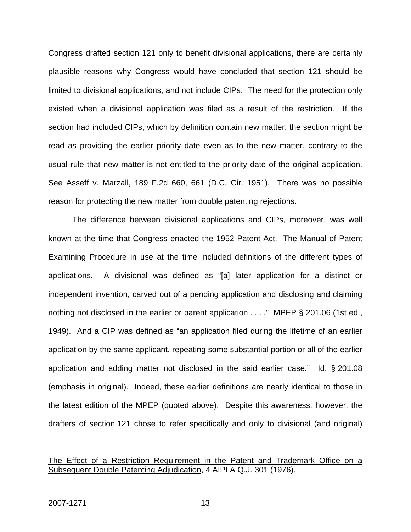Congress drafted section 121 only to benefit divisional applications, there are certainly plausible reasons why Congress would have concluded that section 121 should be limited to divisional applications, and not include CIPs. The need for the protection only existed when a divisional application was filed as a result of the restriction. If the section had included CIPs, which by definition contain new matter, the section might be read as providing the earlier priority date even as to the new matter, contrary to the usual rule that new matter is not entitled to the priority date of the original application. See Asseff v. Marzall, 189 F.2d 660, 661 (D.C. Cir. 1951). There was no possible reason for protecting the new matter from double patenting rejections.

The difference between divisional applications and CIPs, moreover, was well known at the time that Congress enacted the 1952 Patent Act. The Manual of Patent Examining Procedure in use at the time included definitions of the different types of applications. A divisional was defined as "[a] later application for a distinct or independent invention, carved out of a pending application and disclosing and claiming nothing not disclosed in the earlier or parent application . . . ." MPEP § 201.06 (1st ed., 1949). And a CIP was defined as "an application filed during the lifetime of an earlier application by the same applicant, repeating some substantial portion or all of the earlier application and adding matter not disclosed in the said earlier case." Id. § 201.08 (emphasis in original). Indeed, these earlier definitions are nearly identical to those in the latest edition of the MPEP (quoted above). Despite this awareness, however, the drafters of section 121 chose to refer specifically and only to divisional (and original)

 $\overline{a}$ 

The Effect of a Restriction Requirement in the Patent and Trademark Office on a Subsequent Double Patenting Adjudication, 4 AIPLA Q.J. 301 (1976).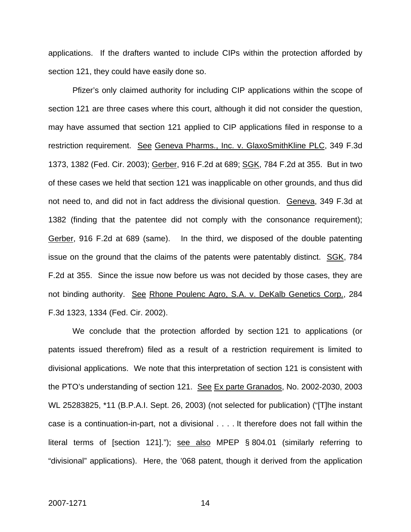applications. If the drafters wanted to include CIPs within the protection afforded by section 121, they could have easily done so.

Pfizer's only claimed authority for including CIP applications within the scope of section 121 are three cases where this court, although it did not consider the question, may have assumed that section 121 applied to CIP applications filed in response to a restriction requirement. See Geneva Pharms., Inc. v. GlaxoSmithKline PLC, 349 F.3d 1373, 1382 (Fed. Cir. 2003); Gerber, 916 F.2d at 689; SGK, 784 F.2d at 355. But in two of these cases we held that section 121 was inapplicable on other grounds, and thus did not need to, and did not in fact address the divisional question. Geneva, 349 F.3d at 1382 (finding that the patentee did not comply with the consonance requirement); Gerber, 916 F.2d at 689 (same). In the third, we disposed of the double patenting issue on the ground that the claims of the patents were patentably distinct. SGK, 784 F.2d at 355. Since the issue now before us was not decided by those cases, they are not binding authority. See Rhone Poulenc Agro, S.A. v. DeKalb Genetics Corp., 284 F.3d 1323, 1334 (Fed. Cir. 2002).

We conclude that the protection afforded by section 121 to applications (or patents issued therefrom) filed as a result of a restriction requirement is limited to divisional applications. We note that this interpretation of section 121 is consistent with the PTO's understanding of section 121. See Ex parte Granados, No. 2002-2030, 2003 WL 25283825, \*11 (B.P.A.I. Sept. 26, 2003) (not selected for publication) ("[T]he instant case is a continuation-in-part, not a divisional . . . . It therefore does not fall within the literal terms of [section 121]."); see also MPEP § 804.01 (similarly referring to "divisional" applications). Here, the '068 patent, though it derived from the application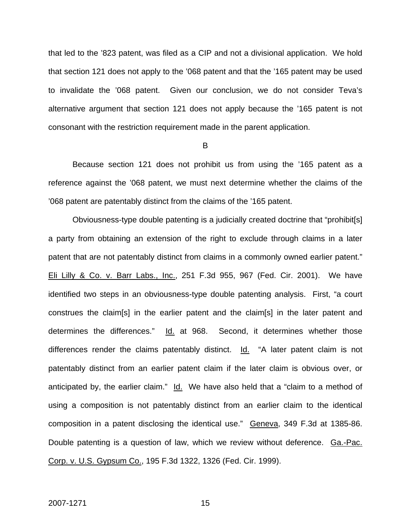that led to the '823 patent, was filed as a CIP and not a divisional application. We hold that section 121 does not apply to the '068 patent and that the '165 patent may be used to invalidate the '068 patent. Given our conclusion, we do not consider Teva's alternative argument that section 121 does not apply because the '165 patent is not consonant with the restriction requirement made in the parent application.

B

 Because section 121 does not prohibit us from using the '165 patent as a reference against the '068 patent, we must next determine whether the claims of the '068 patent are patentably distinct from the claims of the '165 patent.

Obviousness-type double patenting is a judicially created doctrine that "prohibit[s] a party from obtaining an extension of the right to exclude through claims in a later patent that are not patentably distinct from claims in a commonly owned earlier patent." Eli Lilly & Co. v. Barr Labs., Inc., 251 F.3d 955, 967 (Fed. Cir. 2001). We have identified two steps in an obviousness-type double patenting analysis. First, "a court construes the claim[s] in the earlier patent and the claim[s] in the later patent and determines the differences." Id. at 968. Second, it determines whether those differences render the claims patentably distinct. Id. "A later patent claim is not patentably distinct from an earlier patent claim if the later claim is obvious over, or anticipated by, the earlier claim." Id. We have also held that a "claim to a method of using a composition is not patentably distinct from an earlier claim to the identical composition in a patent disclosing the identical use." Geneva, 349 F.3d at 1385-86. Double patenting is a question of law, which we review without deference. Ga.-Pac. Corp. v. U.S. Gypsum Co., 195 F.3d 1322, 1326 (Fed. Cir. 1999).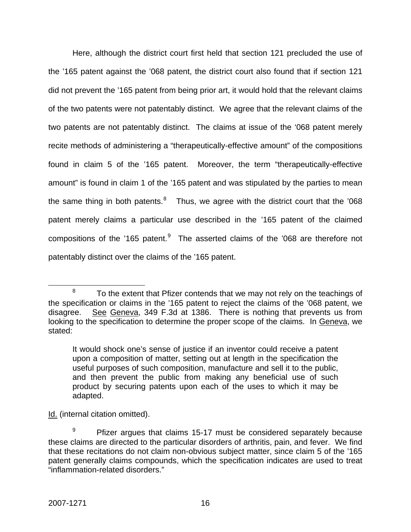Here, although the district court first held that section 121 precluded the use of the '165 patent against the '068 patent, the district court also found that if section 121 did not prevent the '165 patent from being prior art, it would hold that the relevant claims of the two patents were not patentably distinct. We agree that the relevant claims of the two patents are not patentably distinct. The claims at issue of the '068 patent merely recite methods of administering a "therapeutically-effective amount" of the compositions found in claim 5 of the '165 patent. Moreover, the term "therapeutically-effective amount" is found in claim 1 of the '165 patent and was stipulated by the parties to mean the same thing in both patents. $8$  Thus, we agree with the district court that the '068 patent merely claims a particular use described in the '165 patent of the claimed compositions of the '165 patent. $9$  The asserted claims of the '068 are therefore not patentably distinct over the claims of the '165 patent.

Id. (internal citation omitted).

<span id="page-16-0"></span> <sup>8</sup>  $8$  To the extent that Pfizer contends that we may not rely on the teachings of the specification or claims in the '165 patent to reject the claims of the '068 patent, we disagree. See Geneva, 349 F.3d at 1386. There is nothing that prevents us from looking to the specification to determine the proper scope of the claims. In Geneva, we stated:

It would shock one's sense of justice if an inventor could receive a patent upon a composition of matter, setting out at length in the specification the useful purposes of such composition, manufacture and sell it to the public, and then prevent the public from making any beneficial use of such product by securing patents upon each of the uses to which it may be adapted.

<span id="page-16-1"></span><sup>9</sup> Pfizer argues that claims 15-17 must be considered separately because these claims are directed to the particular disorders of arthritis, pain, and fever. We find that these recitations do not claim non-obvious subject matter, since claim 5 of the '165 patent generally claims compounds, which the specification indicates are used to treat "inflammation-related disorders."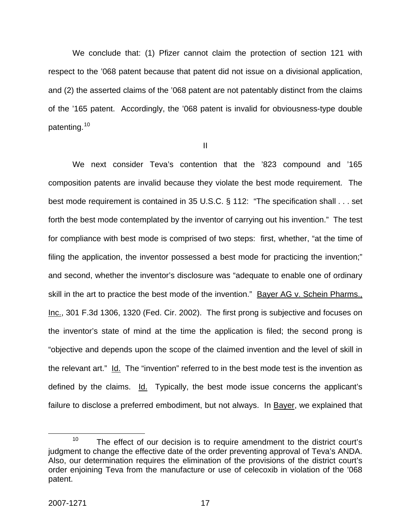We conclude that: (1) Pfizer cannot claim the protection of section 121 with respect to the '068 patent because that patent did not issue on a divisional application, and (2) the asserted claims of the '068 patent are not patentably distinct from the claims of the '165 patent. Accordingly, the '068 patent is invalid for obviousness-type double patenting.<sup>[10](#page-17-0)</sup>

II

We next consider Teva's contention that the '823 compound and '165 composition patents are invalid because they violate the best mode requirement. The best mode requirement is contained in 35 U.S.C. § 112: "The specification shall . . . set forth the best mode contemplated by the inventor of carrying out his invention." The test for compliance with best mode is comprised of two steps: first, whether, "at the time of filing the application, the inventor possessed a best mode for practicing the invention;" and second, whether the inventor's disclosure was "adequate to enable one of ordinary skill in the art to practice the best mode of the invention." Bayer AG v. Schein Pharms., Inc., 301 F.3d 1306, 1320 (Fed. Cir. 2002). The first prong is subjective and focuses on the inventor's state of mind at the time the application is filed; the second prong is "objective and depends upon the scope of the claimed invention and the level of skill in the relevant art." Id. The "invention" referred to in the best mode test is the invention as defined by the claims. Id. Typically, the best mode issue concerns the applicant's failure to disclose a preferred embodiment, but not always. In Bayer, we explained that

<span id="page-17-0"></span> $10$  The effect of our decision is to require amendment to the district court's judgment to change the effective date of the order preventing approval of Teva's ANDA. Also, our determination requires the elimination of the provisions of the district court's order enjoining Teva from the manufacture or use of celecoxib in violation of the '068 patent.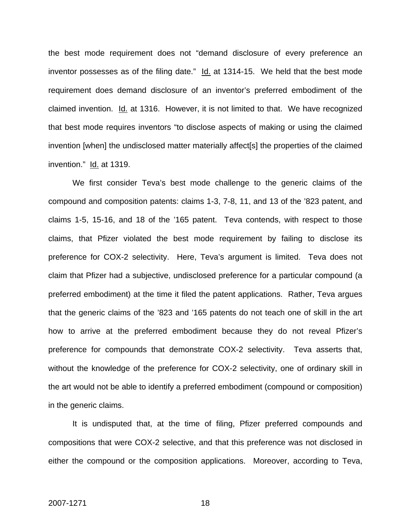the best mode requirement does not "demand disclosure of every preference an inventor possesses as of the filing date." Id. at 1314-15. We held that the best mode requirement does demand disclosure of an inventor's preferred embodiment of the claimed invention. Id. at 1316. However, it is not limited to that. We have recognized that best mode requires inventors "to disclose aspects of making or using the claimed invention [when] the undisclosed matter materially affect[s] the properties of the claimed invention." Id. at 1319.

We first consider Teva's best mode challenge to the generic claims of the compound and composition patents: claims 1-3, 7-8, 11, and 13 of the '823 patent, and claims 1-5, 15-16, and 18 of the '165 patent. Teva contends, with respect to those claims, that Pfizer violated the best mode requirement by failing to disclose its preference for COX-2 selectivity. Here, Teva's argument is limited. Teva does not claim that Pfizer had a subjective, undisclosed preference for a particular compound (a preferred embodiment) at the time it filed the patent applications. Rather, Teva argues that the generic claims of the '823 and '165 patents do not teach one of skill in the art how to arrive at the preferred embodiment because they do not reveal Pfizer's preference for compounds that demonstrate COX-2 selectivity. Teva asserts that, without the knowledge of the preference for COX-2 selectivity, one of ordinary skill in the art would not be able to identify a preferred embodiment (compound or composition) in the generic claims.

It is undisputed that, at the time of filing, Pfizer preferred compounds and compositions that were COX-2 selective, and that this preference was not disclosed in either the compound or the composition applications. Moreover, according to Teva,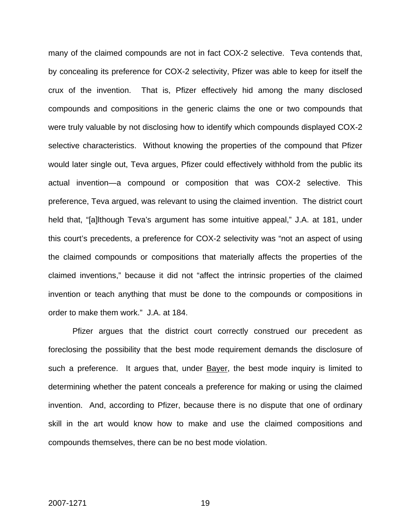many of the claimed compounds are not in fact COX-2 selective. Teva contends that, by concealing its preference for COX-2 selectivity, Pfizer was able to keep for itself the crux of the invention. That is, Pfizer effectively hid among the many disclosed compounds and compositions in the generic claims the one or two compounds that were truly valuable by not disclosing how to identify which compounds displayed COX-2 selective characteristics. Without knowing the properties of the compound that Pfizer would later single out, Teva argues, Pfizer could effectively withhold from the public its actual invention—a compound or composition that was COX-2 selective. This preference, Teva argued, was relevant to using the claimed invention. The district court held that, "[a]lthough Teva's argument has some intuitive appeal," J.A. at 181, under this court's precedents, a preference for COX-2 selectivity was "not an aspect of using the claimed compounds or compositions that materially affects the properties of the claimed inventions," because it did not "affect the intrinsic properties of the claimed invention or teach anything that must be done to the compounds or compositions in order to make them work." J.A. at 184.

Pfizer argues that the district court correctly construed our precedent as foreclosing the possibility that the best mode requirement demands the disclosure of such a preference. It argues that, under Bayer, the best mode inquiry is limited to determining whether the patent conceals a preference for making or using the claimed invention. And, according to Pfizer, because there is no dispute that one of ordinary skill in the art would know how to make and use the claimed compositions and compounds themselves, there can be no best mode violation.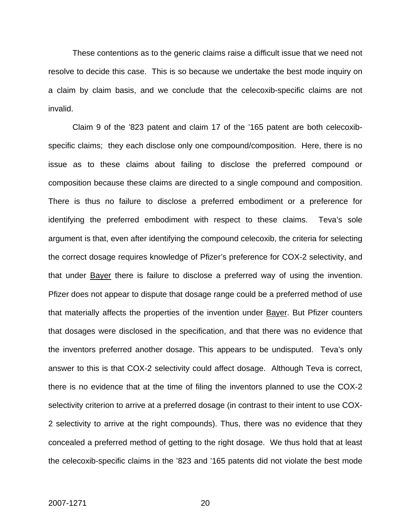These contentions as to the generic claims raise a difficult issue that we need not resolve to decide this case. This is so because we undertake the best mode inquiry on a claim by claim basis, and we conclude that the celecoxib-specific claims are not invalid.

Claim 9 of the '823 patent and claim 17 of the '165 patent are both celecoxibspecific claims; they each disclose only one compound/composition. Here, there is no issue as to these claims about failing to disclose the preferred compound or composition because these claims are directed to a single compound and composition. There is thus no failure to disclose a preferred embodiment or a preference for identifying the preferred embodiment with respect to these claims. Teva's sole argument is that, even after identifying the compound celecoxib, the criteria for selecting the correct dosage requires knowledge of Pfizer's preference for COX-2 selectivity, and that under Bayer there is failure to disclose a preferred way of using the invention. Pfizer does not appear to dispute that dosage range could be a preferred method of use that materially affects the properties of the invention under **Bayer**. But Pfizer counters that dosages were disclosed in the specification, and that there was no evidence that the inventors preferred another dosage. This appears to be undisputed. Teva's only answer to this is that COX-2 selectivity could affect dosage. Although Teva is correct, there is no evidence that at the time of filing the inventors planned to use the COX-2 selectivity criterion to arrive at a preferred dosage (in contrast to their intent to use COX-2 selectivity to arrive at the right compounds). Thus, there was no evidence that they concealed a preferred method of getting to the right dosage. We thus hold that at least the celecoxib-specific claims in the '823 and '165 patents did not violate the best mode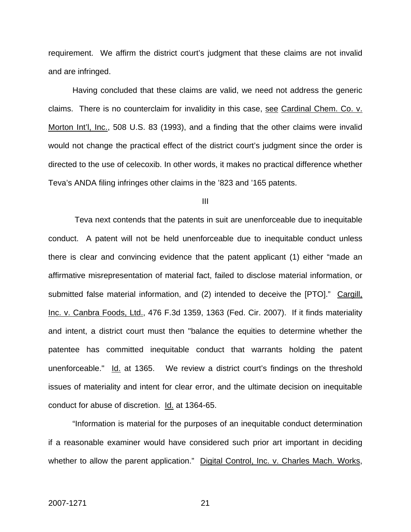requirement. We affirm the district court's judgment that these claims are not invalid and are infringed.

Having concluded that these claims are valid, we need not address the generic claims. There is no counterclaim for invalidity in this case, see Cardinal Chem. Co. v. Morton Int'l, Inc., 508 U.S. 83 (1993), and a finding that the other claims were invalid would not change the practical effect of the district court's judgment since the order is directed to the use of celecoxib. In other words, it makes no practical difference whether Teva's ANDA filing infringes other claims in the '823 and '165 patents.

III

 Teva next contends that the patents in suit are unenforceable due to inequitable conduct. A patent will not be held unenforceable due to inequitable conduct unless there is clear and convincing evidence that the patent applicant (1) either "made an affirmative misrepresentation of material fact, failed to disclose material information, or submitted false material information, and (2) intended to deceive the [PTO]." Cargill, Inc. v. Canbra Foods, Ltd., 476 F.3d 1359, 1363 (Fed. Cir. 2007). If it finds materiality and intent, a district court must then "balance the equities to determine whether the patentee has committed inequitable conduct that warrants holding the patent unenforceable." Id. at 1365. We review a district court's findings on the threshold issues of materiality and intent for clear error, and the ultimate decision on inequitable conduct for abuse of discretion. Id. at 1364-65.

"Information is material for the purposes of an inequitable conduct determination if a reasonable examiner would have considered such prior art important in deciding whether to allow the parent application." Digital Control, Inc. v. Charles Mach. Works,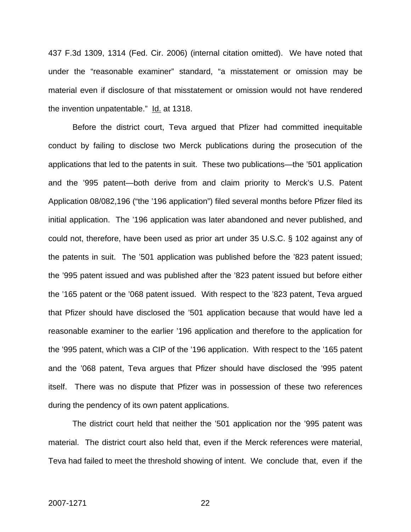437 F.3d 1309, 1314 (Fed. Cir. 2006) (internal citation omitted). We have noted that under the "reasonable examiner" standard, "a misstatement or omission may be material even if disclosure of that misstatement or omission would not have rendered the invention unpatentable." Id. at 1318.

Before the district court, Teva argued that Pfizer had committed inequitable conduct by failing to disclose two Merck publications during the prosecution of the applications that led to the patents in suit. These two publications—the '501 application and the '995 patent—both derive from and claim priority to Merck's U.S. Patent Application 08/082,196 ("the '196 application") filed several months before Pfizer filed its initial application. The '196 application was later abandoned and never published, and could not, therefore, have been used as prior art under 35 U.S.C. § 102 against any of the patents in suit. The '501 application was published before the '823 patent issued; the '995 patent issued and was published after the '823 patent issued but before either the '165 patent or the '068 patent issued. With respect to the '823 patent, Teva argued that Pfizer should have disclosed the '501 application because that would have led a reasonable examiner to the earlier '196 application and therefore to the application for the '995 patent, which was a CIP of the '196 application. With respect to the '165 patent and the '068 patent, Teva argues that Pfizer should have disclosed the '995 patent itself. There was no dispute that Pfizer was in possession of these two references during the pendency of its own patent applications.

The district court held that neither the '501 application nor the '995 patent was material. The district court also held that, even if the Merck references were material, Teva had failed to meet the threshold showing of intent. We conclude that, even if the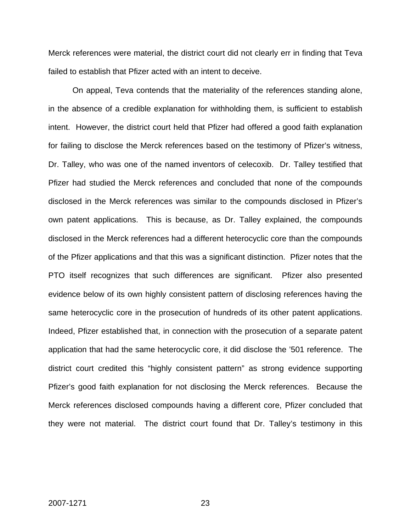Merck references were material, the district court did not clearly err in finding that Teva failed to establish that Pfizer acted with an intent to deceive.

On appeal, Teva contends that the materiality of the references standing alone, in the absence of a credible explanation for withholding them, is sufficient to establish intent. However, the district court held that Pfizer had offered a good faith explanation for failing to disclose the Merck references based on the testimony of Pfizer's witness, Dr. Talley, who was one of the named inventors of celecoxib. Dr. Talley testified that Pfizer had studied the Merck references and concluded that none of the compounds disclosed in the Merck references was similar to the compounds disclosed in Pfizer's own patent applications. This is because, as Dr. Talley explained, the compounds disclosed in the Merck references had a different heterocyclic core than the compounds of the Pfizer applications and that this was a significant distinction. Pfizer notes that the PTO itself recognizes that such differences are significant. Pfizer also presented evidence below of its own highly consistent pattern of disclosing references having the same heterocyclic core in the prosecution of hundreds of its other patent applications. Indeed, Pfizer established that, in connection with the prosecution of a separate patent application that had the same heterocyclic core, it did disclose the '501 reference. The district court credited this "highly consistent pattern" as strong evidence supporting Pfizer's good faith explanation for not disclosing the Merck references. Because the Merck references disclosed compounds having a different core, Pfizer concluded that they were not material. The district court found that Dr. Talley's testimony in this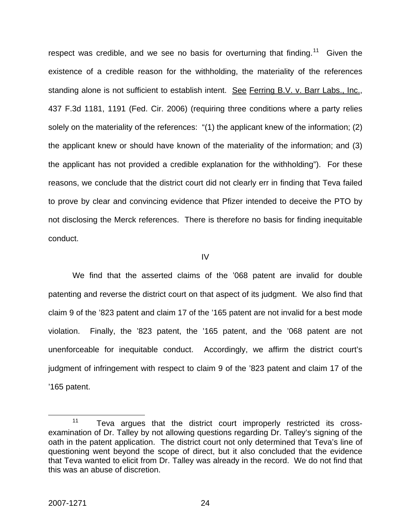respect was credible, and we see no basis for overturning that finding.<sup>[11](#page-24-0)</sup> Given the existence of a credible reason for the withholding, the materiality of the references standing alone is not sufficient to establish intent. See Ferring B.V. v. Barr Labs., Inc., 437 F.3d 1181, 1191 (Fed. Cir. 2006) (requiring three conditions where a party relies solely on the materiality of the references: "(1) the applicant knew of the information; (2) the applicant knew or should have known of the materiality of the information; and (3) the applicant has not provided a credible explanation for the withholding"). For these reasons, we conclude that the district court did not clearly err in finding that Teva failed to prove by clear and convincing evidence that Pfizer intended to deceive the PTO by not disclosing the Merck references. There is therefore no basis for finding inequitable conduct.

IV

 We find that the asserted claims of the '068 patent are invalid for double patenting and reverse the district court on that aspect of its judgment. We also find that claim 9 of the '823 patent and claim 17 of the '165 patent are not invalid for a best mode violation. Finally, the '823 patent, the '165 patent, and the '068 patent are not unenforceable for inequitable conduct. Accordingly, we affirm the district court's judgment of infringement with respect to claim 9 of the '823 patent and claim 17 of the '165 patent.

<span id="page-24-0"></span><sup>&</sup>lt;sup>11</sup> Teva argues that the district court improperly restricted its crossexamination of Dr. Talley by not allowing questions regarding Dr. Talley's signing of the oath in the patent application. The district court not only determined that Teva's line of questioning went beyond the scope of direct, but it also concluded that the evidence that Teva wanted to elicit from Dr. Talley was already in the record. We do not find that this was an abuse of discretion.